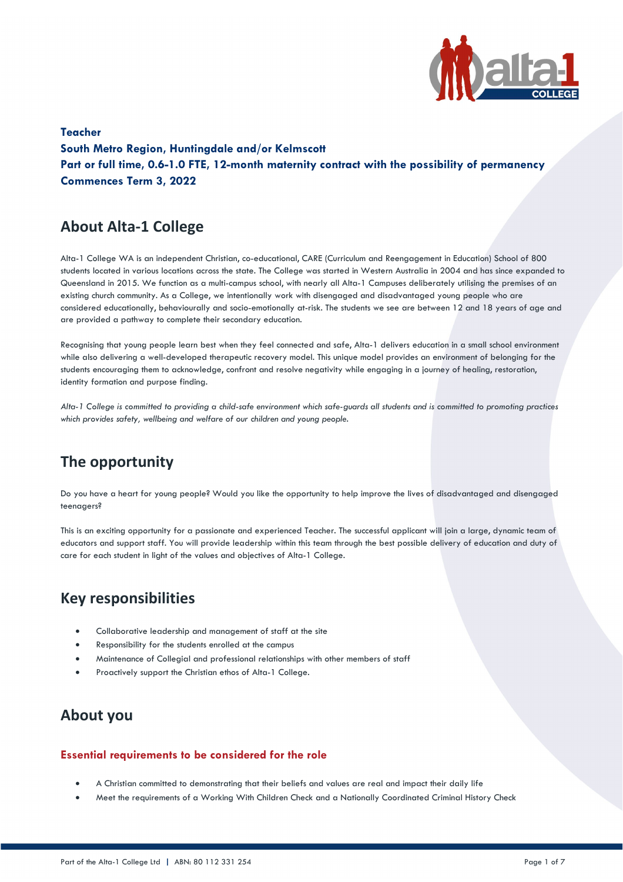

**Teacher South Metro Region, Huntingdale and/or Kelmscott Part or full time, 0.6-1.0 FTE, 12-month maternity contract with the possibility of permanency Commences Term 3, 2022** 

# **About Alta-1 College**

Alta-1 College WA is an independent Christian, co-educational, CARE (Curriculum and Reengagement in Education) School of 800 students located in various locations across the state. The College was started in Western Australia in 2004 and has since expanded to Queensland in 2015. We function as a multi-campus school, with nearly all Alta-1 Campuses deliberately utilising the premises of an existing church community. As a College, we intentionally work with disengaged and disadvantaged young people who are considered educationally, behaviourally and socio-emotionally at-risk. The students we see are between 12 and 18 years of age and are provided a pathway to complete their secondary education.

Recognising that young people learn best when they feel connected and safe, Alta-1 delivers education in a small school environment while also delivering a well-developed therapeutic recovery model. This unique model provides an environment of belonging for the students encouraging them to acknowledge, confront and resolve negativity while engaging in a journey of healing, restoration, identity formation and purpose finding.

*Alta-1 College is committed to providing a child-safe environment which safe-guards all students and is committed to promoting practices which provides safety, wellbeing and welfare of our children and young people.*

# **The opportunity**

Do you have a heart for young people? Would you like the opportunity to help improve the lives of disadvantaged and disengaged teenagers?

This is an exciting opportunity for a passionate and experienced Teacher. The successful applicant will join a large, dynamic team of educators and support staff. You will provide leadership within this team through the best possible delivery of education and duty of care for each student in light of the values and objectives of Alta-1 College.

## **Key responsibilities**

- Collaborative leadership and management of staff at the site
- Responsibility for the students enrolled at the campus
- Maintenance of Collegial and professional relationships with other members of staff
- Proactively support the Christian ethos of Alta-1 College.

## **About you**

### **Essential requirements to be considered for the role**

- A Christian committed to demonstrating that their beliefs and values are real and impact their daily life
- Meet the requirements of a Working With Children Check and a Nationally Coordinated Criminal History Check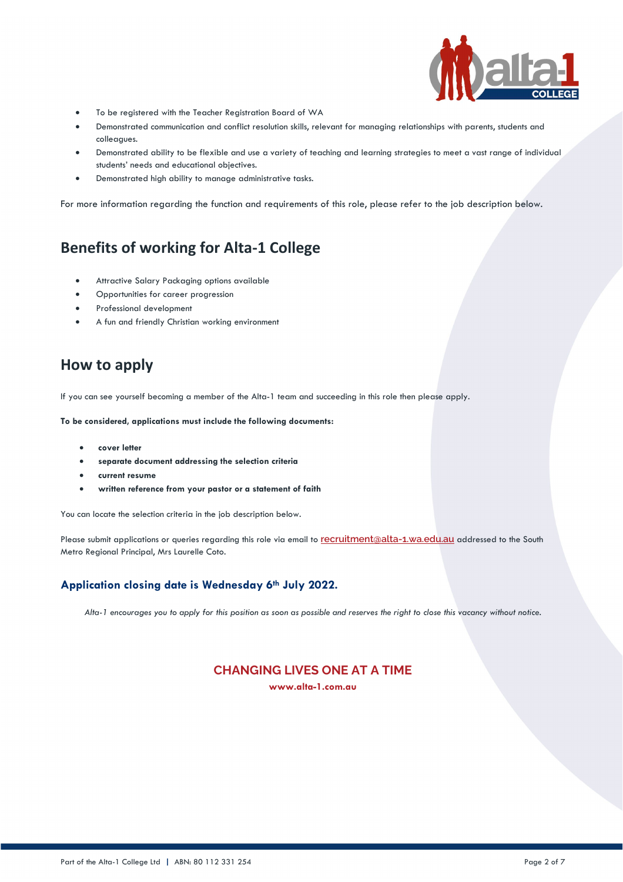

- To be registered with the Teacher Registration Board of WA
- Demonstrated communication and conflict resolution skills, relevant for managing relationships with parents, students and colleagues.
- Demonstrated ability to be flexible and use a variety of teaching and learning strategies to meet a vast range of individual students' needs and educational objectives.
- Demonstrated high ability to manage administrative tasks.

For more information regarding the function and requirements of this role, please refer to the job description below.

# **Benefits of working for Alta-1 College**

- Attractive Salary Packaging options available
- Opportunities for career progression
- Professional development
- A fun and friendly Christian working environment

## **How to apply**

If you can see yourself becoming a member of the Alta-1 team and succeeding in this role then please apply.

**To be considered, applications must include the following documents:**

- **cover letter**
- **separate document addressing the selection criteria**
- **current resume**
- **written reference from your pastor or a statement of faith**

You can locate the selection criteria in the job description below.

Please submit applications or queries regarding this role via email to **[recruitment@alta-1.wa.edu.au](mailto:hr@alta-1.wa.edu.au)** addressed to the South Metro Regional Principal, Mrs Laurelle Coto.

### **Application closing date is Wednesday 6th July 2022.**

*Alta-1 encourages you to apply for this position as soon as possible and reserves the right to close this vacancy without notice.*

## **CHANGING LIVES ONE AT A TIME**

**www.alta-1.com.au**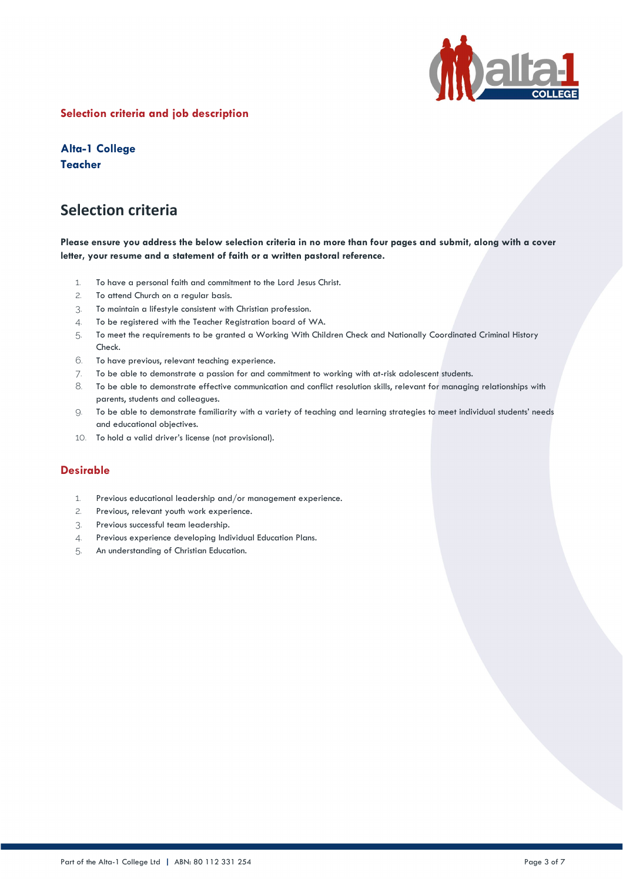

## **Selection criteria and job description**

**Alta-1 College Teacher**

## **Selection criteria**

### **Please ensure you address the below selection criteria in no more than four pages and submit, along with a cover letter, your resume and a statement of faith or a written pastoral reference.**

- 1. To have a personal faith and commitment to the Lord Jesus Christ.
- 2. To attend Church on a regular basis.
- 3. To maintain a lifestyle consistent with Christian profession.
- 4. To be registered with the Teacher Registration board of WA.
- 5. To meet the requirements to be granted a Working With Children Check and Nationally Coordinated Criminal History Check.
- 6. To have previous, relevant teaching experience.
- 7. To be able to demonstrate a passion for and commitment to working with at-risk adolescent students.
- 8. To be able to demonstrate effective communication and conflict resolution skills, relevant for managing relationships with parents, students and colleagues.
- 9. To be able to demonstrate familiarity with a variety of teaching and learning strategies to meet individual students' needs and educational objectives.
- 10. To hold a valid driver's license (not provisional).

### **Desirable**

- 1. Previous educational leadership and/or management experience.
- 2. Previous, relevant youth work experience.
- 3. Previous successful team leadership.
- 4. Previous experience developing Individual Education Plans.
- 5. An understanding of Christian Education.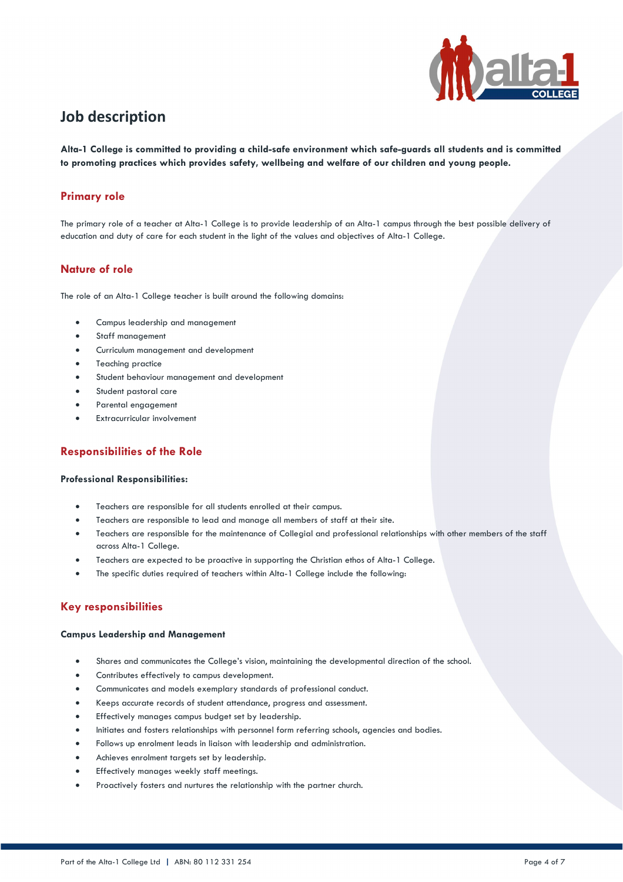

# **Job description**

**Alta-1 College is committed to providing a child-safe environment which safe-guards all students and is committed to promoting practices which provides safety, wellbeing and welfare of our children and young people.**

## **Primary role**

The primary role of a teacher at Alta-1 College is to provide leadership of an Alta-1 campus through the best possible delivery of education and duty of care for each student in the light of the values and objectives of Alta-1 College.

### **Nature of role**

The role of an Alta-1 College teacher is built around the following domains:

- Campus leadership and management
- Staff management
- Curriculum management and development
- Teaching practice
- Student behaviour management and development
- Student pastoral care
- Parental engagement
- Extracurricular involvement

## **Responsibilities of the Role**

#### **Professional Responsibilities:**

- Teachers are responsible for all students enrolled at their campus.
- Teachers are responsible to lead and manage all members of staff at their site.
- Teachers are responsible for the maintenance of Collegial and professional relationships with other members of the staff across Alta-1 College.
- Teachers are expected to be proactive in supporting the Christian ethos of Alta-1 College.
- The specific duties required of teachers within Alta-1 College include the following:

### **Key responsibilities**

#### **Campus Leadership and Management**

- Shares and communicates the College's vision, maintaining the developmental direction of the school.
- Contributes effectively to campus development.
- Communicates and models exemplary standards of professional conduct.
- Keeps accurate records of student attendance, progress and assessment.
- Effectively manages campus budget set by leadership.
- Initiates and fosters relationships with personnel form referring schools, agencies and bodies.
- Follows up enrolment leads in liaison with leadership and administration.
- Achieves enrolment targets set by leadership.
- Effectively manages weekly staff meetings.
- Proactively fosters and nurtures the relationship with the partner church.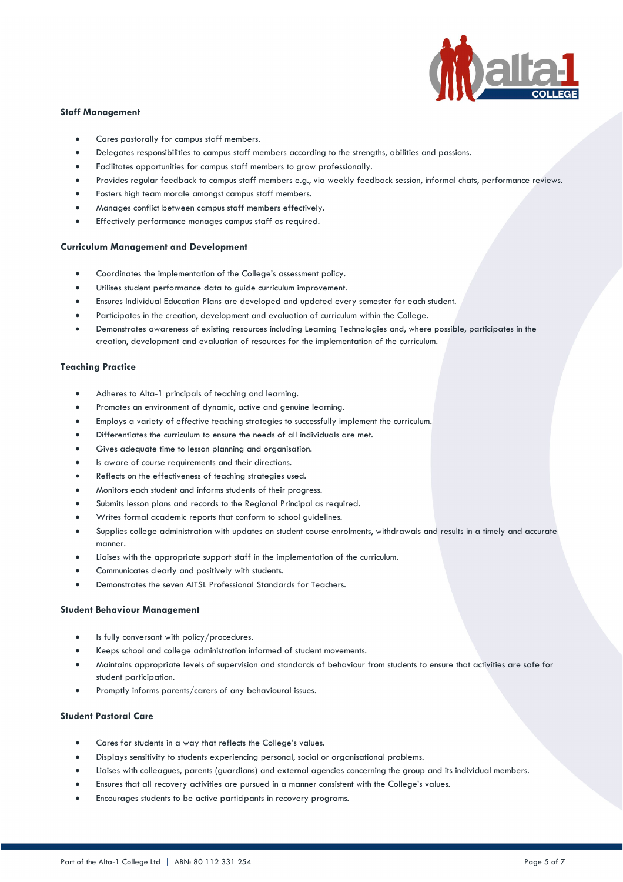

#### **Staff Management**

- Cares pastorally for campus staff members.
- Delegates responsibilities to campus staff members according to the strengths, abilities and passions.
- Facilitates opportunities for campus staff members to grow professionally.
- Provides regular feedback to campus staff members e.g., via weekly feedback session, informal chats, performance reviews.
- Fosters high team morale amongst campus staff members.
- Manages conflict between campus staff members effectively.
- Effectively performance manages campus staff as required.

#### **Curriculum Management and Development**

- Coordinates the implementation of the College's assessment policy.
- Utilises student performance data to guide curriculum improvement.
- Ensures Individual Education Plans are developed and updated every semester for each student.
- Participates in the creation, development and evaluation of curriculum within the College.
- Demonstrates awareness of existing resources including Learning Technologies and, where possible, participates in the creation, development and evaluation of resources for the implementation of the curriculum.

#### **Teaching Practice**

- Adheres to Alta-1 principals of teaching and learning.
- Promotes an environment of dynamic, active and genuine learning.
- Employs a variety of effective teaching strategies to successfully implement the curriculum.
- Differentiates the curriculum to ensure the needs of all individuals are met.
- Gives adequate time to lesson planning and organisation.
- Is aware of course requirements and their directions.
- Reflects on the effectiveness of teaching strategies used.
- Monitors each student and informs students of their progress.
- Submits lesson plans and records to the Regional Principal as required.
- Writes formal academic reports that conform to school guidelines.
- Supplies college administration with updates on student course enrolments, withdrawals and results in a timely and accurate manner.
- Liaises with the appropriate support staff in the implementation of the curriculum.
- Communicates clearly and positively with students.
- Demonstrates the seven AITSL Professional Standards for Teachers.

#### **Student Behaviour Management**

- Is fully conversant with policy/procedures.
- Keeps school and college administration informed of student movements.
- Maintains appropriate levels of supervision and standards of behaviour from students to ensure that activities are safe for student participation.
- Promptly informs parents/carers of any behavioural issues.

#### **Student Pastoral Care**

- Cares for students in a way that reflects the College's values.
- Displays sensitivity to students experiencing personal, social or organisational problems.
- Liaises with colleagues, parents (guardians) and external agencies concerning the group and its individual members.
- Ensures that all recovery activities are pursued in a manner consistent with the College's values.
- Encourages students to be active participants in recovery programs.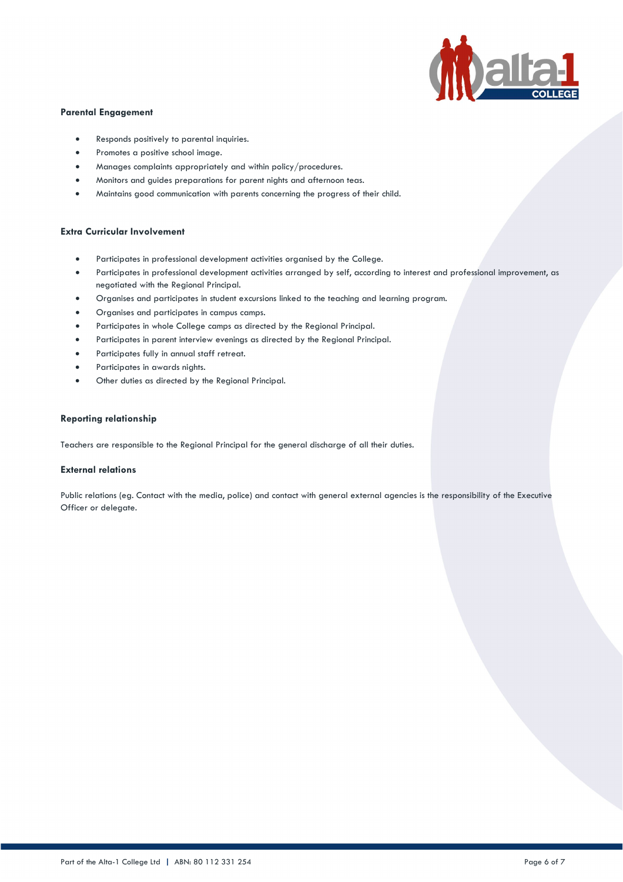

### **Parental Engagement**

- Responds positively to parental inquiries.
- Promotes a positive school image.
- Manages complaints appropriately and within policy/procedures.
- Monitors and guides preparations for parent nights and afternoon teas.
- Maintains good communication with parents concerning the progress of their child.

#### **Extra Curricular Involvement**

- Participates in professional development activities organised by the College.
- Participates in professional development activities arranged by self, according to interest and professional improvement, as negotiated with the Regional Principal.
- Organises and participates in student excursions linked to the teaching and learning program.
- Organises and participates in campus camps.
- Participates in whole College camps as directed by the Regional Principal.
- Participates in parent interview evenings as directed by the Regional Principal.
- Participates fully in annual staff retreat.
- Participates in awards nights.
- Other duties as directed by the Regional Principal.

#### **Reporting relationship**

Teachers are responsible to the Regional Principal for the general discharge of all their duties.

#### **External relations**

Public relations (eg. Contact with the media, police) and contact with general external agencies is the responsibility of the Executive Officer or delegate.